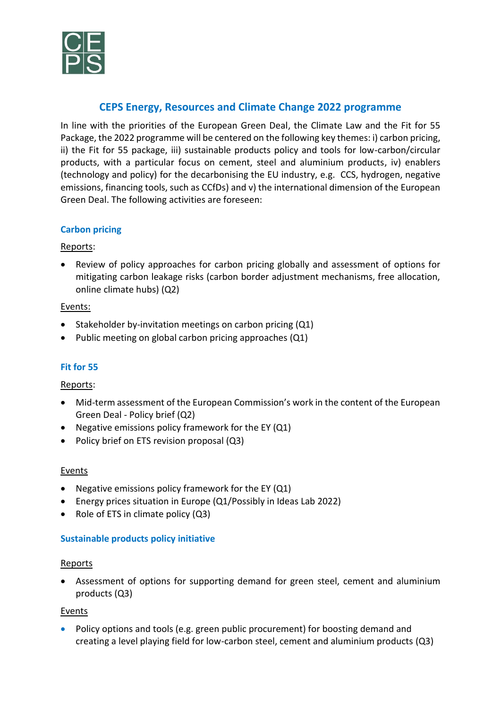

# **CEPS Energy, Resources and Climate Change 2022 programme**

In line with the priorities of the European Green Deal, the Climate Law and the Fit for 55 Package, the 2022 programme will be centered on the following key themes: i) carbon pricing, ii) the Fit for 55 package, iii) sustainable products policy and tools for low-carbon/circular products, with a particular focus on cement, steel and aluminium products, iv) enablers (technology and policy) for the decarbonising the EU industry, e.g. CCS, hydrogen, negative emissions, financing tools, such as CCfDs) and v) the international dimension of the European Green Deal. The following activities are foreseen:

# **Carbon pricing**

### Reports:

• Review of policy approaches for carbon pricing globally and assessment of options for mitigating carbon leakage risks (carbon border adjustment mechanisms, free allocation, online climate hubs) (Q2)

#### Events:

- Stakeholder by-invitation meetings on carbon pricing (Q1)
- Public meeting on global carbon pricing approaches (Q1)

# **Fit for 55**

#### Reports:

- Mid-term assessment of the European Commission's work in the content of the European Green Deal - Policy brief (Q2)
- Negative emissions policy framework for the EY (Q1)
- Policy brief on ETS revision proposal (Q3)

#### **Events**

- Negative emissions policy framework for the EY (Q1)
- Energy prices situation in Europe (Q1/Possibly in Ideas Lab 2022)
- Role of ETS in climate policy (Q3)

#### **Sustainable products policy initiative**

#### Reports

• Assessment of options for supporting demand for green steel, cement and aluminium products (Q3)

#### Events

• Policy options and tools (e.g. green public procurement) for boosting demand and creating a level playing field for low-carbon steel, cement and aluminium products (Q3)